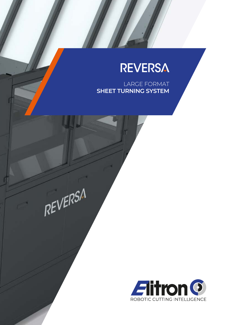# **REVERSA**

LARGE FORMAT **SHEET TURNING SYSTEM**



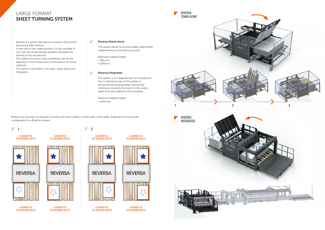Reversa is a system that allows to overturn the printed processing after printing.

In the case of two-sided printing, it is also possible to turn over the sheets already printed to facilitate the printing of the second side.

Reversa can be easily configured to receive and return sheets on both sides of the pallet. Depending of the printer, configuration 1 or 2 will be chosen.

The system of suction cups and bellows can be the separation of the sheets even in the resence of critical materials.

> ALIGNMENT OF THE INCOMING SHEETS

**REVERSA** 58 这

The system is provided in two ways: stand-alone and integrated.

ALIGNMENT OF THE OUTGOING SHEETS



ALIGNMENT OF THE OUTGOING SHEETS

**1 2**



**REVERSA** 



The system allows to process pallets sequentially, independently of the other processes.

Maximum loading height:

• 760 mm;

 $\mathbb{R}^n$ 

 $\overline{\phantom{a}}$ 

• 1200mm.



The system is an Integrated part of a production line, it intervenes only on the pallets to be processed and guarantees operational continuity, including the transit of the empty pallet from the loading to the unloading.

Maximum loading height:

• 1200 mm.



#### Reversa Stand-alone

#### Reversa Integrated



# LARGE FORMAT SHEET TURNING SYSTEM



ALIGNMENT OF THE OUTGOING SHEETS

ALIGNMENT OF THE OUTGOING SHEETS